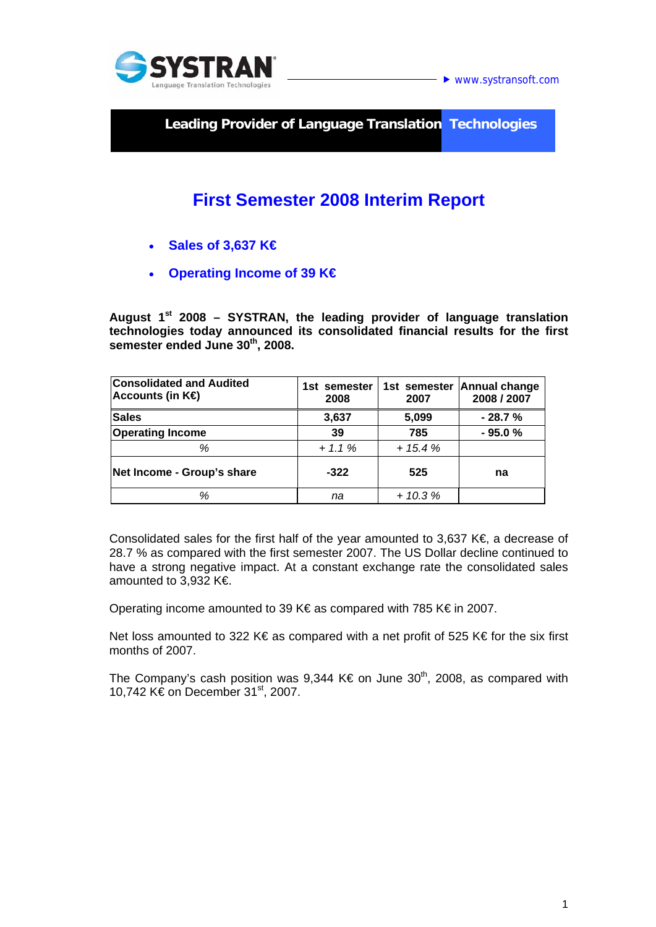

**► www.systransoft.com** 

**Leading Provider of Language Translation Technologies** 

# **First Semester 2008 Interim Report**

- **Sales of 3,637 K€**
- **Operating Income of 39 K€**

**August 1st 2008 – SYSTRAN, the leading provider of language translation technologies today announced its consolidated financial results for the first semester ended June 30th, 2008.** 

| <b>Consolidated and Audited</b><br>Accounts (in $K\oplus$ | 1st semester<br>2008 | 1st semester<br>2007 | Annual change<br>2008 / 2007 |
|-----------------------------------------------------------|----------------------|----------------------|------------------------------|
| <b>Sales</b>                                              | 3,637                | 5,099                | $-28.7%$                     |
| <b>Operating Income</b>                                   | 39                   | 785                  | $-95.0%$                     |
| %                                                         | $+ 1.1 \%$           | $+15.4%$             |                              |
| Net Income - Group's share                                | $-322$               | 525                  | na                           |
| %                                                         | na                   | $+10.3%$             |                              |

Consolidated sales for the first half of the year amounted to 3,637 K€, a decrease of 28.7 % as compared with the first semester 2007. The US Dollar decline continued to have a strong negative impact. At a constant exchange rate the consolidated sales amounted to 3,932 K€.

Operating income amounted to 39 K€ as compared with 785 K€ in 2007.

Net loss amounted to 322 K€ as compared with a net profit of 525 K€ for the six first months of 2007.

The Company's cash position was 9,344 K€ on June  $30<sup>th</sup>$ , 2008, as compared with 10,742 K€ on December 31<sup>st</sup>, 2007.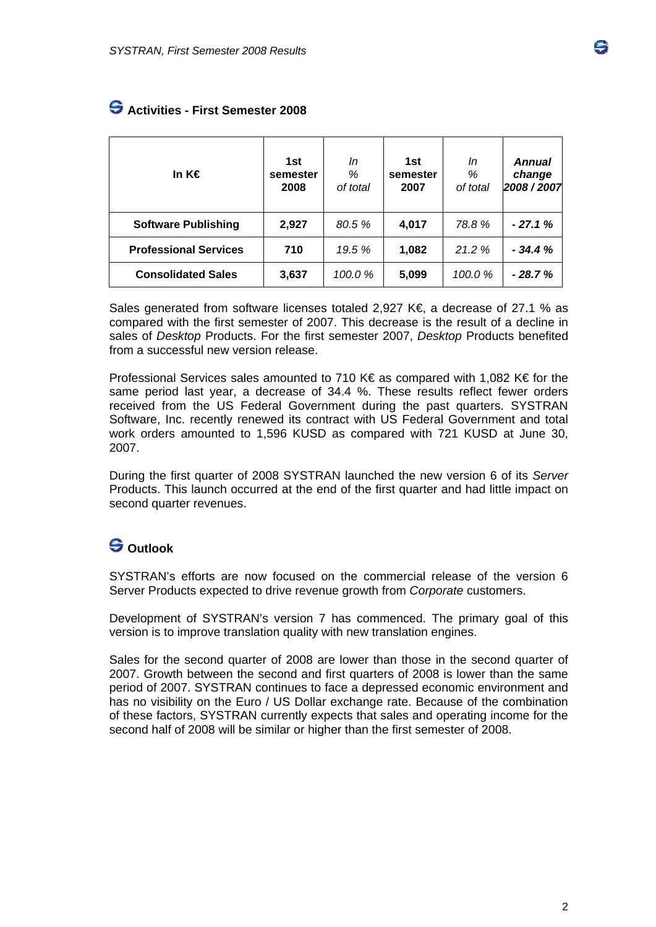| In K€                        | 1st<br>semester<br>2008 | In<br>%<br>of total | 1st<br>semester<br>2007 | In<br>%<br>of total | <b>Annual</b><br>change<br>2008 / 2007 |
|------------------------------|-------------------------|---------------------|-------------------------|---------------------|----------------------------------------|
| <b>Software Publishing</b>   | 2,927                   | 80.5%               | 4,017                   | 78.8%               | $-27.1%$                               |
| <b>Professional Services</b> | 710                     | 19.5 %              | 1,082                   | 21.2%               | $-34.4%$                               |
| <b>Consolidated Sales</b>    | 3,637                   | 100.0%              | 5,099                   | 100.0 %             | $-28.7%$                               |

### **Activities - First Semester 2008**

Sales generated from software licenses totaled 2,927 K€, a decrease of 27.1 % as compared with the first semester of 2007. This decrease is the result of a decline in sales of *Desktop* Products. For the first semester 2007, *Desktop* Products benefited from a successful new version release.

Professional Services sales amounted to 710 K€ as compared with 1,082 K€ for the same period last year, a decrease of 34.4 %. These results reflect fewer orders received from the US Federal Government during the past quarters. SYSTRAN Software, Inc. recently renewed its contract with US Federal Government and total work orders amounted to 1,596 KUSD as compared with 721 KUSD at June 30, 2007.

During the first quarter of 2008 SYSTRAN launched the new version 6 of its *Server* Products. This launch occurred at the end of the first quarter and had little impact on second quarter revenues.

## **Outlook**

SYSTRAN's efforts are now focused on the commercial release of the version 6 Server Products expected to drive revenue growth from *Corporate* customers.

Development of SYSTRAN's version 7 has commenced. The primary goal of this version is to improve translation quality with new translation engines.

Sales for the second quarter of 2008 are lower than those in the second quarter of 2007. Growth between the second and first quarters of 2008 is lower than the same period of 2007. SYSTRAN continues to face a depressed economic environment and has no visibility on the Euro / US Dollar exchange rate. Because of the combination of these factors, SYSTRAN currently expects that sales and operating income for the second half of 2008 will be similar or higher than the first semester of 2008.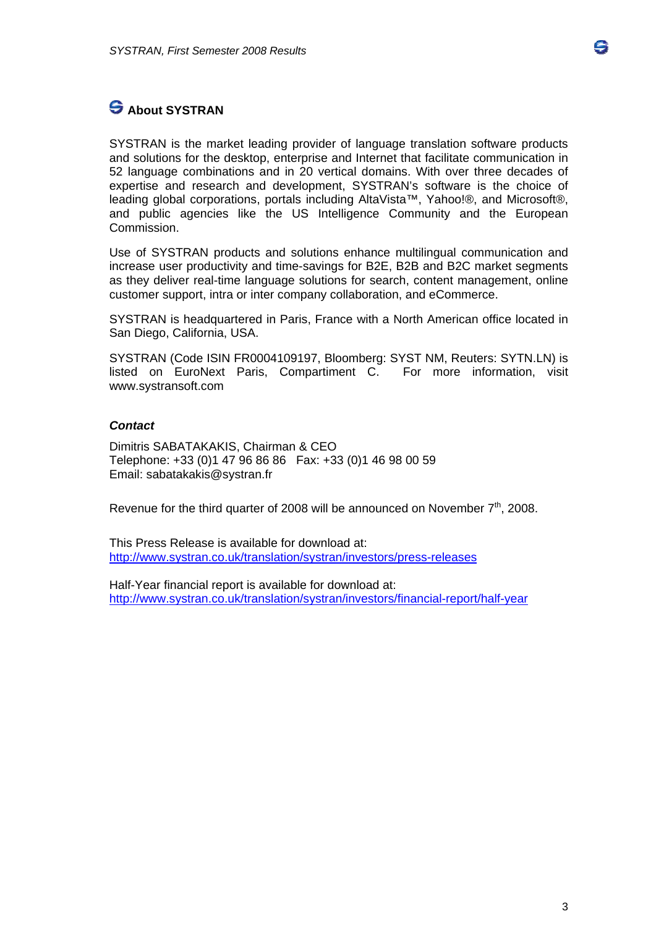## **S** About SYSTRAN

SYSTRAN is the market leading provider of language translation software products and solutions for the desktop, enterprise and Internet that facilitate communication in 52 language combinations and in 20 vertical domains. With over three decades of expertise and research and development, SYSTRAN's software is the choice of leading global corporations, portals including AltaVista™, Yahoo!®, and Microsoft®, and public agencies like the US Intelligence Community and the European Commission.

Use of SYSTRAN products and solutions enhance multilingual communication and increase user productivity and time-savings for B2E, B2B and B2C market segments as they deliver real-time language solutions for search, content management, online customer support, intra or inter company collaboration, and eCommerce.

SYSTRAN is headquartered in Paris, France with a North American office located in San Diego, California, USA.

SYSTRAN (Code ISIN FR0004109197, Bloomberg: SYST NM, Reuters: SYTN.LN) is listed on EuroNext Paris, Compartiment C. For more information, visit [www.systransoft.com](http://www.systransoft.com/)

#### *Contact*

Dimitris SABATAKAKIS, Chairman & CEO Telephone: +33 (0)1 47 96 86 86 Fax: +33 (0)1 46 98 00 59 Email: sabatakakis@systran.fr

Revenue for the third quarter of 2008 will be announced on November  $7<sup>th</sup>$ , 2008.

This Press Release is available for download at: <http://www.systran.co.uk/translation/systran/investors/press-releases>

Half-Year financial report is available for download at: <http://www.systran.co.uk/translation/systran/investors/financial-report/half-year> e